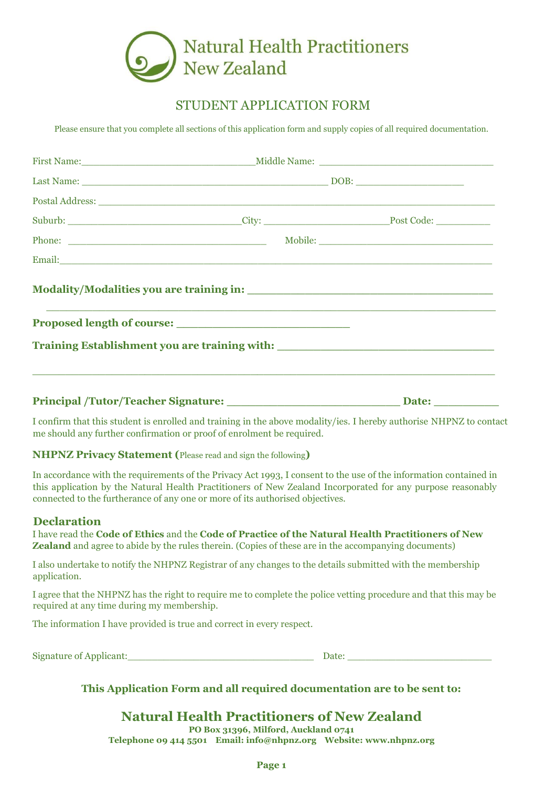

## STUDENT APPLICATION FORM

Please ensure that you complete all sections of this application form and supply copies of all required documentation.

| Suburb: _________________________________City: ___________________________________Post Code: _________________       |  |  |
|----------------------------------------------------------------------------------------------------------------------|--|--|
|                                                                                                                      |  |  |
|                                                                                                                      |  |  |
| <u> 1990 - Johann John Harry Harry Harry Harry Harry Harry Harry Harry Harry Harry Harry Harry Harry Harry Harry</u> |  |  |
| Training Establishment you are training with: __________________________________                                     |  |  |
| Principal /Tutor/Teacher Signature: Date: Date: Date:                                                                |  |  |

I confirm that this student is enrolled and training in the above modality/ies. I hereby authorise NHPNZ to contact me should any further confirmation or proof of enrolment be required.

**NHPNZ Privacy Statement (**Please read and sign the following**)** 

In accordance with the requirements of the Privacy Act 1993, I consent to the use of the information contained in this application by the Natural Health Practitioners of New Zealand Incorporated for any purpose reasonably connected to the furtherance of any one or more of its authorised objectives.

#### **Declaration**

I have read the **Code of Ethics** and the **Code of Practice of the Natural Health Practitioners of New Zealand** and agree to abide by the rules therein. (Copies of these are in the accompanying documents)

I also undertake to notify the NHPNZ Registrar of any changes to the details submitted with the membership application.

I agree that the NHPNZ has the right to require me to complete the police vetting procedure and that this may be required at any time during my membership.

The information I have provided is true and correct in every respect.

Signature of Applicant:\_\_\_\_\_\_\_\_\_\_\_\_\_\_\_\_\_\_\_\_\_\_\_\_\_\_\_\_\_\_\_ Date: \_\_\_\_\_\_\_\_\_\_\_\_\_\_\_\_\_\_\_\_\_\_\_\_

## **This Application Form and all required documentation are to be sent to:**

# **Natural Health Practitioners of New Zealand**

**PO Box 31396, Milford, Auckland 0741 Telephone 09 414 5501 Email: info@nhpnz.org Website: [www.nhpnz.org](http://www.nhpnz.org/)**